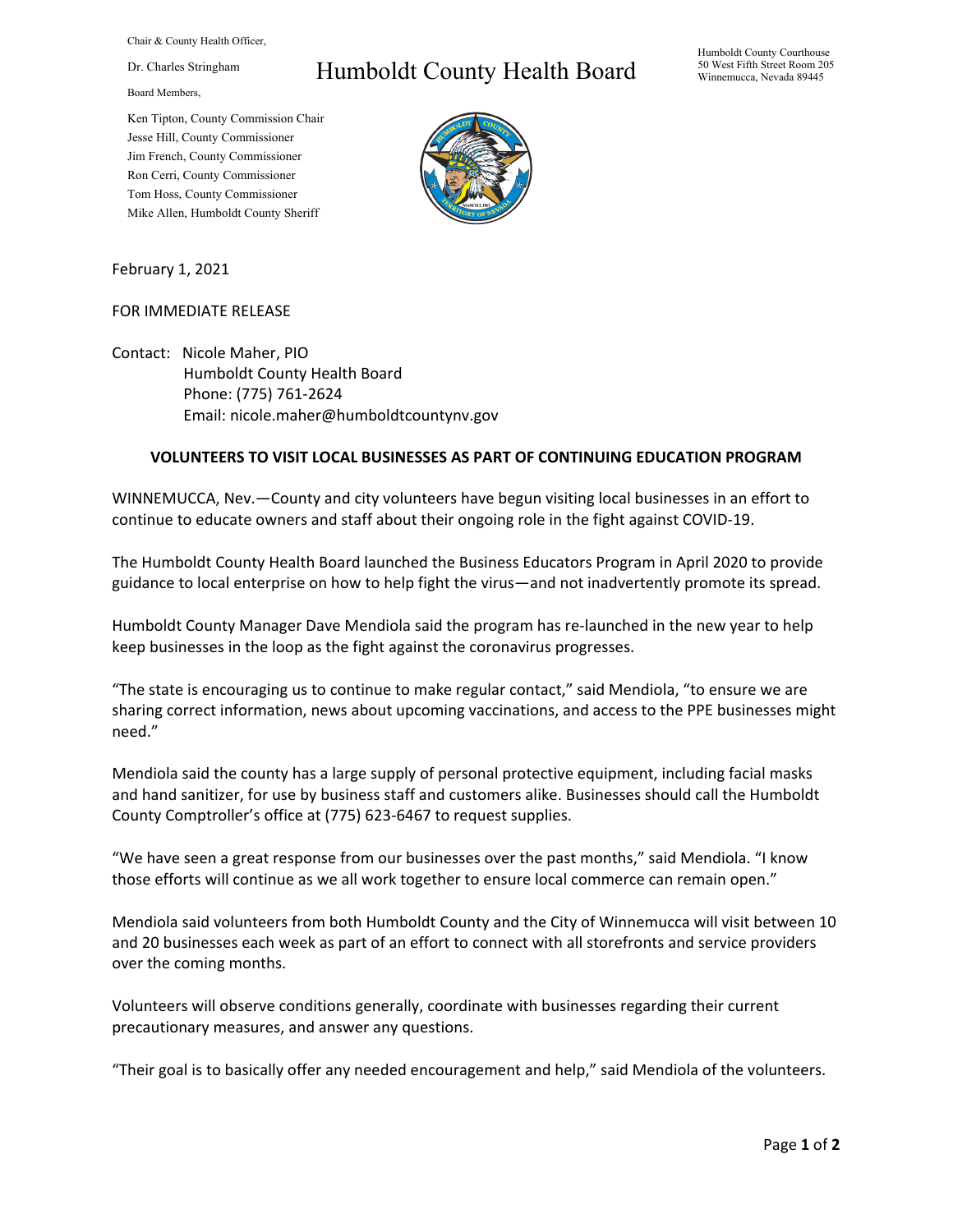Chair & County Health Officer,

Dr. Charles Stringham

Board Members,

Ken Tipton, County Commission Chair Jesse Hill, County Commissioner Jim French, County Commissioner Ron Cerri, County Commissioner Tom Hoss, County Commissioner Mike Allen, Humboldt County Sheriff

## Humboldt County Health Board



February 1, 2021

## FOR IMMEDIATE RELEASE

Contact: Nicole Maher, PIO Humboldt County Health Board Phone: (775) 761-2624 Email: nicole.maher@humboldtcountynv.gov

## **VOLUNTEERS TO VISIT LOCAL BUSINESSES AS PART OF CONTINUING EDUCATION PROGRAM**

WINNEMUCCA, Nev.—County and city volunteers have begun visiting local businesses in an effort to continue to educate owners and staff about their ongoing role in the fight against COVID-19.

The Humboldt County Health Board launched the Business Educators Program in April 2020 to provide guidance to local enterprise on how to help fight the virus—and not inadvertently promote its spread.

Humboldt County Manager Dave Mendiola said the program has re-launched in the new year to help keep businesses in the loop as the fight against the coronavirus progresses.

"The state is encouraging us to continue to make regular contact," said Mendiola, "to ensure we are sharing correct information, news about upcoming vaccinations, and access to the PPE businesses might need."

Mendiola said the county has a large supply of personal protective equipment, including facial masks and hand sanitizer, for use by business staff and customers alike. Businesses should call the Humboldt County Comptroller's office at (775) 623-6467 to request supplies.

"We have seen a great response from our businesses over the past months," said Mendiola. "I know those efforts will continue as we all work together to ensure local commerce can remain open."

Mendiola said volunteers from both Humboldt County and the City of Winnemucca will visit between 10 and 20 businesses each week as part of an effort to connect with all storefronts and service providers over the coming months.

Volunteers will observe conditions generally, coordinate with businesses regarding their current precautionary measures, and answer any questions.

"Their goal is to basically offer any needed encouragement and help," said Mendiola of the volunteers.